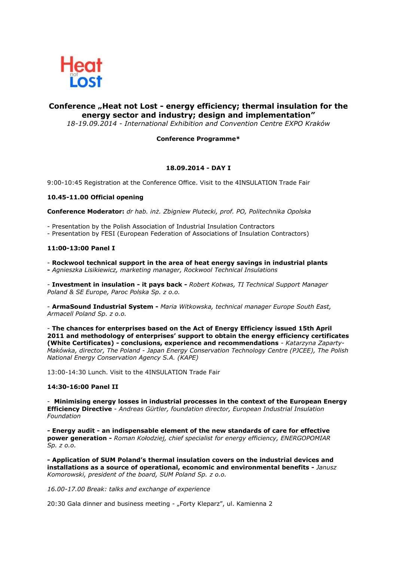

# **Conference "Heat not Lost - energy efficiency; thermal insulation for the energy sector and industry; design and implementation"**

*18-19.09.2014 - International Exhibition and Convention Centre EXPO Kraków*

### **Conference Programme\***

#### **18.09.2014 - DAY I**

9:00-10:45 Registration at the Conference Office. Visit to the 4INSULATION Trade Fair

#### **10.45-11.00 Official opening**

**Conference Moderator:** *dr hab. inż. Zbigniew Plutecki, prof. PO, Politechnika Opolska*

- Presentation by the Polish Association of Industrial Insulation Contractors

- Presentation by FESI (European Federation of Associations of Insulation Contractors)

#### **11:00-13:00 Panel I**

- **Rockwool technical support in the area of heat energy savings in industrial plants -** *Agnieszka Lisikiewicz, marketing manager, Rockwool Technical Insulations*

*-* **Investment in insulation - it pays back** *- Robert Kotwas, TI Technical Support Manager Poland & SE Europe, Paroc Polska Sp. z o.o.*

- **ArmaSound Industrial System -** *Maria Witkowska, technical manager Europe South East, Armacell Poland Sp. z o.o.*

- **The chances for enterprises based on the Act of Energy Efficiency issued 15th April 2011 and methodology of enterprises' support to obtain the energy efficiency certificates (White Certificates) - conclusions, experience and recommendations** *- Katarzyna Zaparty-Makówka, director, The Poland - Japan Energy Conservation Technology Centre (PJCEE), The Polish National Energy Conservation Agency S.A. (KAPE)*

13:00-14:30 Lunch. Visit to the 4INSULATION Trade Fair

#### **14:30-16:00 Panel II**

- **Minimising energy losses in industrial processes in the context of the European Energy Efficiency Directive** - *Andreas Gürtler, foundation director, European Industrial Insulation Foundation*

*-* **Energy audit - an indispensable element of the new standards of care for effective power generation -** *Roman Kołodziej, chief specialist for energy efficiency, ENERGOPOMIAR Sp. z o.o.*

**- Application of SUM Poland's thermal insulation covers on the industrial devices and installations as a source of operational, economic and environmental benefits -** *Janusz Komorowski, president of the board, SUM Poland Sp. z o.o.*

*16.00-17.00 Break: talks and exchange of experience*

20:30 Gala dinner and business meeting - "Forty Kleparz", ul. Kamienna 2